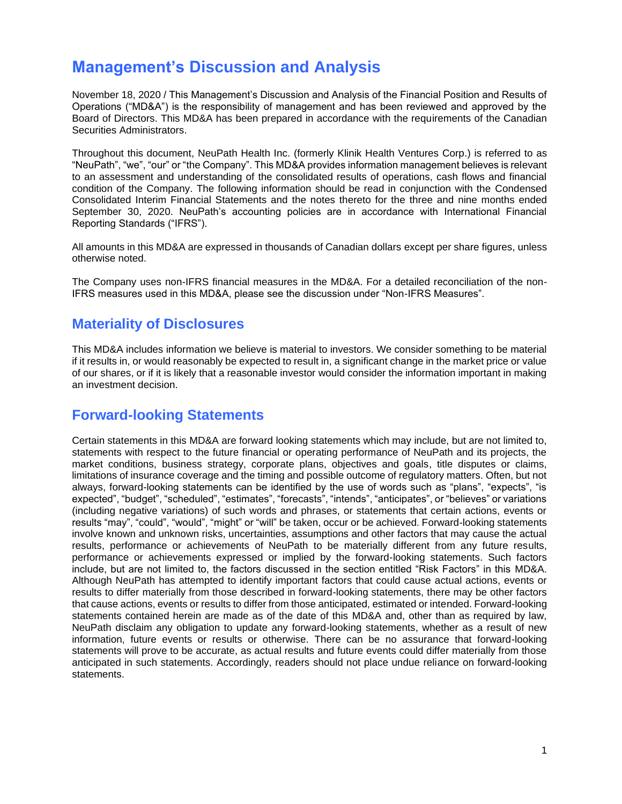# **Management's Discussion and Analysis**

November 18, 2020 / This Management's Discussion and Analysis of the Financial Position and Results of Operations ("MD&A") is the responsibility of management and has been reviewed and approved by the Board of Directors. This MD&A has been prepared in accordance with the requirements of the Canadian Securities Administrators.

Throughout this document, NeuPath Health Inc. (formerly Klinik Health Ventures Corp.) is referred to as "NeuPath", "we", "our" or "the Company". This MD&A provides information management believes is relevant to an assessment and understanding of the consolidated results of operations, cash flows and financial condition of the Company. The following information should be read in conjunction with the Condensed Consolidated Interim Financial Statements and the notes thereto for the three and nine months ended September 30, 2020. NeuPath's accounting policies are in accordance with International Financial Reporting Standards ("IFRS").

All amounts in this MD&A are expressed in thousands of Canadian dollars except per share figures, unless otherwise noted.

The Company uses non-IFRS financial measures in the MD&A. For a detailed reconciliation of the non-IFRS measures used in this MD&A, please see the discussion under "Non-IFRS Measures".

## **Materiality of Disclosures**

This MD&A includes information we believe is material to investors. We consider something to be material if it results in, or would reasonably be expected to result in, a significant change in the market price or value of our shares, or if it is likely that a reasonable investor would consider the information important in making an investment decision.

# **Forward-looking Statements**

Certain statements in this MD&A are forward looking statements which may include, but are not limited to, statements with respect to the future financial or operating performance of NeuPath and its projects, the market conditions, business strategy, corporate plans, objectives and goals, title disputes or claims, limitations of insurance coverage and the timing and possible outcome of regulatory matters. Often, but not always, forward-looking statements can be identified by the use of words such as "plans", "expects", "is expected", "budget", "scheduled", "estimates", "forecasts", "intends", "anticipates", or "believes" or variations (including negative variations) of such words and phrases, or statements that certain actions, events or results "may", "could", "would", "might" or "will" be taken, occur or be achieved. Forward-looking statements involve known and unknown risks, uncertainties, assumptions and other factors that may cause the actual results, performance or achievements of NeuPath to be materially different from any future results, performance or achievements expressed or implied by the forward-looking statements. Such factors include, but are not limited to, the factors discussed in the section entitled "Risk Factors" in this MD&A. Although NeuPath has attempted to identify important factors that could cause actual actions, events or results to differ materially from those described in forward-looking statements, there may be other factors that cause actions, events or results to differ from those anticipated, estimated or intended. Forward-looking statements contained herein are made as of the date of this MD&A and, other than as required by law, NeuPath disclaim any obligation to update any forward-looking statements, whether as a result of new information, future events or results or otherwise. There can be no assurance that forward-looking statements will prove to be accurate, as actual results and future events could differ materially from those anticipated in such statements. Accordingly, readers should not place undue reliance on forward-looking statements.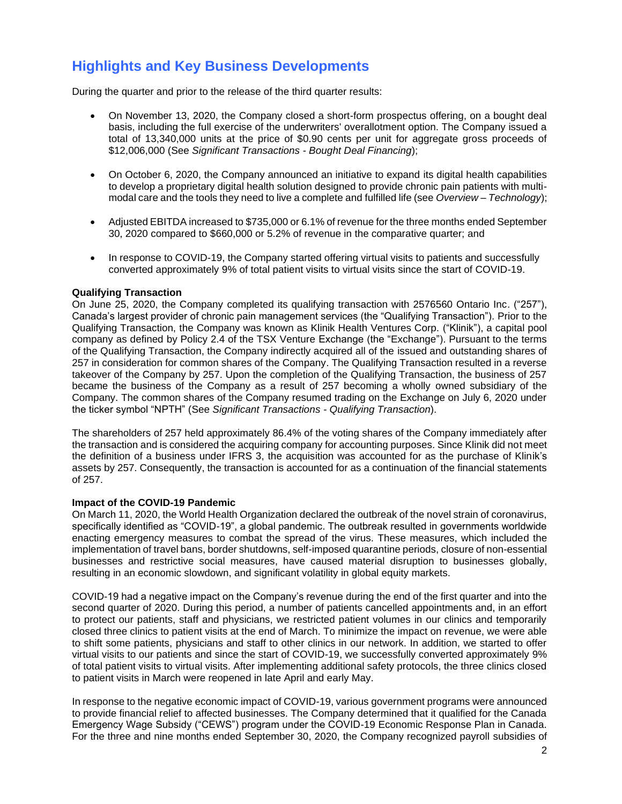# **Highlights and Key Business Developments**

During the quarter and prior to the release of the third quarter results:

- On November 13, 2020, the Company closed a short-form prospectus offering, on a bought deal basis, including the full exercise of the underwriters' overallotment option. The Company issued a total of 13,340,000 units at the price of \$0.90 cents per unit for aggregate gross proceeds of \$12,006,000 (See *Significant Transactions - Bought Deal Financing*);
- On October 6, 2020, the Company announced an initiative to expand its digital health capabilities to develop a proprietary digital health solution designed to provide chronic pain patients with multimodal care and the tools they need to live a complete and fulfilled life (see *Overview – Technology*);
- Adjusted EBITDA increased to \$735,000 or 6.1% of revenue for the three months ended September 30, 2020 compared to \$660,000 or 5.2% of revenue in the comparative quarter; and
- In response to COVID-19, the Company started offering virtual visits to patients and successfully converted approximately 9% of total patient visits to virtual visits since the start of COVID-19.

## **Qualifying Transaction**

On June 25, 2020, the Company completed its qualifying transaction with 2576560 Ontario Inc. ("257"), Canada's largest provider of chronic pain management services (the "Qualifying Transaction"). Prior to the Qualifying Transaction, the Company was known as Klinik Health Ventures Corp. ("Klinik"), a capital pool company as defined by Policy 2.4 of the TSX Venture Exchange (the "Exchange"). Pursuant to the terms of the Qualifying Transaction, the Company indirectly acquired all of the issued and outstanding shares of 257 in consideration for common shares of the Company. The Qualifying Transaction resulted in a reverse takeover of the Company by 257. Upon the completion of the Qualifying Transaction, the business of 257 became the business of the Company as a result of 257 becoming a wholly owned subsidiary of the Company. The common shares of the Company resumed trading on the Exchange on July 6, 2020 under the ticker symbol "NPTH" (See *Significant Transactions - Qualifying Transaction*).

The shareholders of 257 held approximately 86.4% of the voting shares of the Company immediately after the transaction and is considered the acquiring company for accounting purposes. Since Klinik did not meet the definition of a business under IFRS 3, the acquisition was accounted for as the purchase of Klinik's assets by 257. Consequently, the transaction is accounted for as a continuation of the financial statements of 257.

### **Impact of the COVID-19 Pandemic**

On March 11, 2020, the World Health Organization declared the outbreak of the novel strain of coronavirus, specifically identified as "COVID-19", a global pandemic. The outbreak resulted in governments worldwide enacting emergency measures to combat the spread of the virus. These measures, which included the implementation of travel bans, border shutdowns, self-imposed quarantine periods, closure of non-essential businesses and restrictive social measures, have caused material disruption to businesses globally, resulting in an economic slowdown, and significant volatility in global equity markets.

COVID-19 had a negative impact on the Company's revenue during the end of the first quarter and into the second quarter of 2020. During this period, a number of patients cancelled appointments and, in an effort to protect our patients, staff and physicians, we restricted patient volumes in our clinics and temporarily closed three clinics to patient visits at the end of March. To minimize the impact on revenue, we were able to shift some patients, physicians and staff to other clinics in our network. In addition, we started to offer virtual visits to our patients and since the start of COVID-19, we successfully converted approximately 9% of total patient visits to virtual visits. After implementing additional safety protocols, the three clinics closed to patient visits in March were reopened in late April and early May.

In response to the negative economic impact of COVID-19, various government programs were announced to provide financial relief to affected businesses. The Company determined that it qualified for the Canada Emergency Wage Subsidy ("CEWS") program under the COVID-19 Economic Response Plan in Canada. For the three and nine months ended September 30, 2020, the Company recognized payroll subsidies of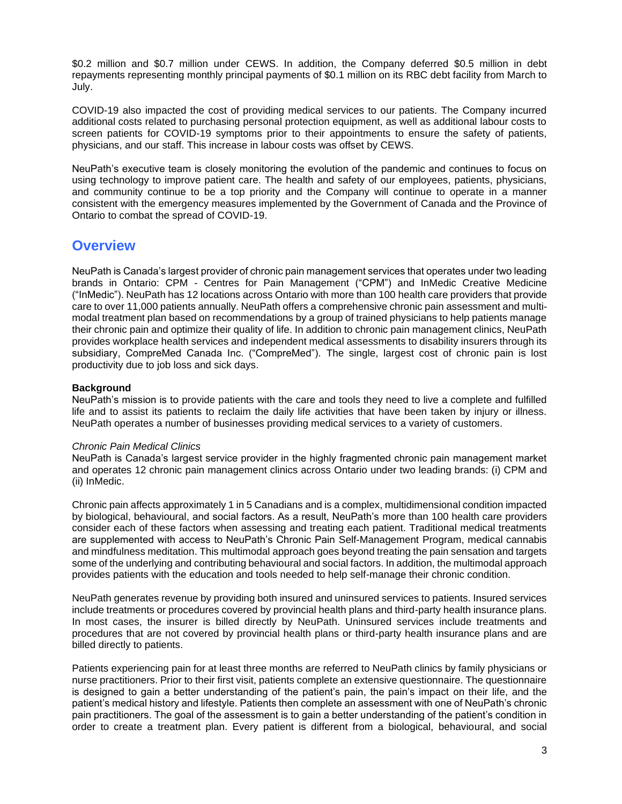\$0.2 million and \$0.7 million under CEWS. In addition, the Company deferred \$0.5 million in debt repayments representing monthly principal payments of \$0.1 million on its RBC debt facility from March to July.

COVID-19 also impacted the cost of providing medical services to our patients. The Company incurred additional costs related to purchasing personal protection equipment, as well as additional labour costs to screen patients for COVID-19 symptoms prior to their appointments to ensure the safety of patients, physicians, and our staff. This increase in labour costs was offset by CEWS.

NeuPath's executive team is closely monitoring the evolution of the pandemic and continues to focus on using technology to improve patient care. The health and safety of our employees, patients, physicians, and community continue to be a top priority and the Company will continue to operate in a manner consistent with the emergency measures implemented by the Government of Canada and the Province of Ontario to combat the spread of COVID-19.

## **Overview**

NeuPath is Canada's largest provider of chronic pain management services that operates under two leading brands in Ontario: CPM - Centres for Pain Management ("CPM") and InMedic Creative Medicine ("InMedic"). NeuPath has 12 locations across Ontario with more than 100 health care providers that provide care to over 11,000 patients annually. NeuPath offers a comprehensive chronic pain assessment and multimodal treatment plan based on recommendations by a group of trained physicians to help patients manage their chronic pain and optimize their quality of life. In addition to chronic pain management clinics, NeuPath provides workplace health services and independent medical assessments to disability insurers through its subsidiary, CompreMed Canada Inc. ("CompreMed"). The single, largest cost of chronic pain is lost productivity due to job loss and sick days.

## **Background**

NeuPath's mission is to provide patients with the care and tools they need to live a complete and fulfilled life and to assist its patients to reclaim the daily life activities that have been taken by injury or illness. NeuPath operates a number of businesses providing medical services to a variety of customers.

#### *Chronic Pain Medical Clinics*

NeuPath is Canada's largest service provider in the highly fragmented chronic pain management market and operates 12 chronic pain management clinics across Ontario under two leading brands: (i) CPM and (ii) InMedic.

Chronic pain affects approximately 1 in 5 Canadians and is a complex, multidimensional condition impacted by biological, behavioural, and social factors. As a result, NeuPath's more than 100 health care providers consider each of these factors when assessing and treating each patient. Traditional medical treatments are supplemented with access to NeuPath's Chronic Pain Self-Management Program, medical cannabis and mindfulness meditation. This multimodal approach goes beyond treating the pain sensation and targets some of the underlying and contributing behavioural and social factors. In addition, the multimodal approach provides patients with the education and tools needed to help self-manage their chronic condition.

NeuPath generates revenue by providing both insured and uninsured services to patients. Insured services include treatments or procedures covered by provincial health plans and third-party health insurance plans. In most cases, the insurer is billed directly by NeuPath. Uninsured services include treatments and procedures that are not covered by provincial health plans or third-party health insurance plans and are billed directly to patients.

Patients experiencing pain for at least three months are referred to NeuPath clinics by family physicians or nurse practitioners. Prior to their first visit, patients complete an extensive questionnaire. The questionnaire is designed to gain a better understanding of the patient's pain, the pain's impact on their life, and the patient's medical history and lifestyle. Patients then complete an assessment with one of NeuPath's chronic pain practitioners. The goal of the assessment is to gain a better understanding of the patient's condition in order to create a treatment plan. Every patient is different from a biological, behavioural, and social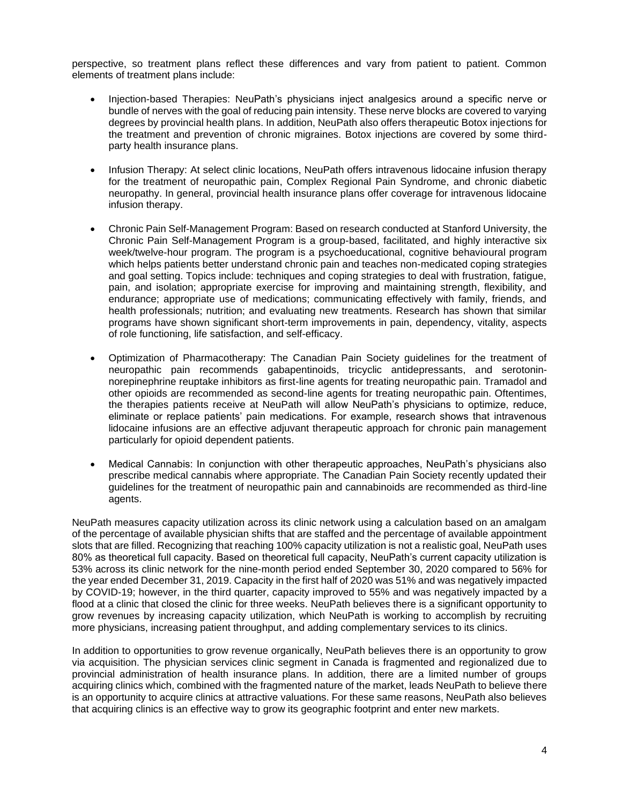perspective, so treatment plans reflect these differences and vary from patient to patient. Common elements of treatment plans include:

- Injection-based Therapies: NeuPath's physicians inject analgesics around a specific nerve or bundle of nerves with the goal of reducing pain intensity. These nerve blocks are covered to varying degrees by provincial health plans. In addition, NeuPath also offers therapeutic Botox injections for the treatment and prevention of chronic migraines. Botox injections are covered by some thirdparty health insurance plans.
- Infusion Therapy: At select clinic locations, NeuPath offers intravenous lidocaine infusion therapy for the treatment of neuropathic pain, Complex Regional Pain Syndrome, and chronic diabetic neuropathy. In general, provincial health insurance plans offer coverage for intravenous lidocaine infusion therapy.
- Chronic Pain Self-Management Program: Based on research conducted at Stanford University, the Chronic Pain Self-Management Program is a group-based, facilitated, and highly interactive six week/twelve-hour program. The program is a psychoeducational, cognitive behavioural program which helps patients better understand chronic pain and teaches non-medicated coping strategies and goal setting. Topics include: techniques and coping strategies to deal with frustration, fatigue, pain, and isolation; appropriate exercise for improving and maintaining strength, flexibility, and endurance; appropriate use of medications; communicating effectively with family, friends, and health professionals; nutrition; and evaluating new treatments. Research has shown that similar programs have shown significant short-term improvements in pain, dependency, vitality, aspects of role functioning, life satisfaction, and self-efficacy.
- Optimization of Pharmacotherapy: The Canadian Pain Society guidelines for the treatment of neuropathic pain recommends gabapentinoids, tricyclic antidepressants, and serotoninnorepinephrine reuptake inhibitors as first-line agents for treating neuropathic pain. Tramadol and other opioids are recommended as second-line agents for treating neuropathic pain. Oftentimes, the therapies patients receive at NeuPath will allow NeuPath's physicians to optimize, reduce, eliminate or replace patients' pain medications. For example, research shows that intravenous lidocaine infusions are an effective adjuvant therapeutic approach for chronic pain management particularly for opioid dependent patients.
- Medical Cannabis: In conjunction with other therapeutic approaches, NeuPath's physicians also prescribe medical cannabis where appropriate. The Canadian Pain Society recently updated their guidelines for the treatment of neuropathic pain and cannabinoids are recommended as third-line agents.

NeuPath measures capacity utilization across its clinic network using a calculation based on an amalgam of the percentage of available physician shifts that are staffed and the percentage of available appointment slots that are filled. Recognizing that reaching 100% capacity utilization is not a realistic goal, NeuPath uses 80% as theoretical full capacity. Based on theoretical full capacity, NeuPath's current capacity utilization is 53% across its clinic network for the nine-month period ended September 30, 2020 compared to 56% for the year ended December 31, 2019. Capacity in the first half of 2020 was 51% and was negatively impacted by COVID-19; however, in the third quarter, capacity improved to 55% and was negatively impacted by a flood at a clinic that closed the clinic for three weeks. NeuPath believes there is a significant opportunity to grow revenues by increasing capacity utilization, which NeuPath is working to accomplish by recruiting more physicians, increasing patient throughput, and adding complementary services to its clinics.

In addition to opportunities to grow revenue organically, NeuPath believes there is an opportunity to grow via acquisition. The physician services clinic segment in Canada is fragmented and regionalized due to provincial administration of health insurance plans. In addition, there are a limited number of groups acquiring clinics which, combined with the fragmented nature of the market, leads NeuPath to believe there is an opportunity to acquire clinics at attractive valuations. For these same reasons, NeuPath also believes that acquiring clinics is an effective way to grow its geographic footprint and enter new markets.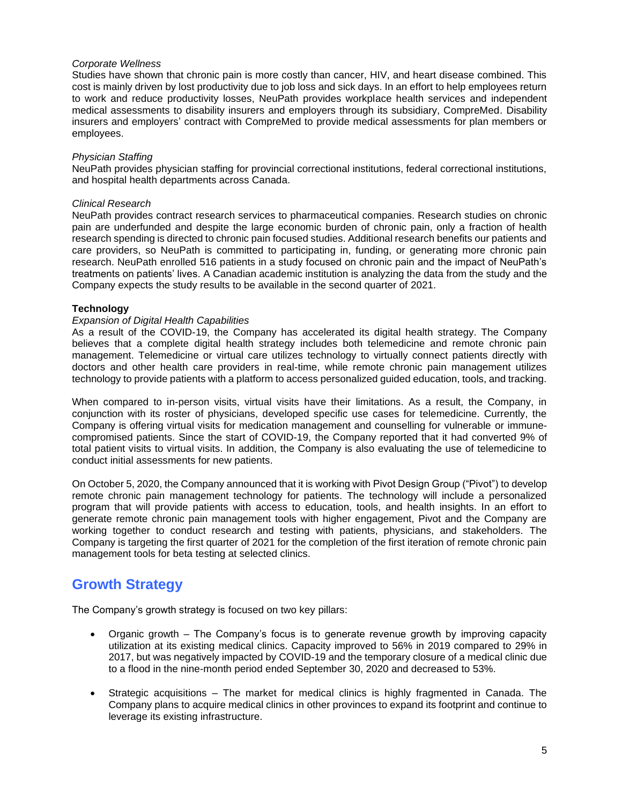#### *Corporate Wellness*

Studies have shown that chronic pain is more costly than cancer, HIV, and heart disease combined. This cost is mainly driven by lost productivity due to job loss and sick days. In an effort to help employees return to work and reduce productivity losses, NeuPath provides workplace health services and independent medical assessments to disability insurers and employers through its subsidiary, CompreMed. Disability insurers and employers' contract with CompreMed to provide medical assessments for plan members or employees.

#### *Physician Staffing*

NeuPath provides physician staffing for provincial correctional institutions, federal correctional institutions, and hospital health departments across Canada.

#### *Clinical Research*

NeuPath provides contract research services to pharmaceutical companies. Research studies on chronic pain are underfunded and despite the large economic burden of chronic pain, only a fraction of health research spending is directed to chronic pain focused studies. Additional research benefits our patients and care providers, so NeuPath is committed to participating in, funding, or generating more chronic pain research. NeuPath enrolled 516 patients in a study focused on chronic pain and the impact of NeuPath's treatments on patients' lives. A Canadian academic institution is analyzing the data from the study and the Company expects the study results to be available in the second quarter of 2021.

#### **Technology**

#### *Expansion of Digital Health Capabilities*

As a result of the COVID-19, the Company has accelerated its digital health strategy. The Company believes that a complete digital health strategy includes both telemedicine and remote chronic pain management. Telemedicine or virtual care utilizes technology to virtually connect patients directly with doctors and other health care providers in real-time, while remote chronic pain management utilizes technology to provide patients with a platform to access personalized guided education, tools, and tracking.

When compared to in-person visits, virtual visits have their limitations. As a result, the Company, in conjunction with its roster of physicians, developed specific use cases for telemedicine. Currently, the Company is offering virtual visits for medication management and counselling for vulnerable or immunecompromised patients. Since the start of COVID-19, the Company reported that it had converted 9% of total patient visits to virtual visits. In addition, the Company is also evaluating the use of telemedicine to conduct initial assessments for new patients.

On October 5, 2020, the Company announced that it is working with Pivot Design Group ("Pivot") to develop remote chronic pain management technology for patients. The technology will include a personalized program that will provide patients with access to education, tools, and health insights. In an effort to generate remote chronic pain management tools with higher engagement, Pivot and the Company are working together to conduct research and testing with patients, physicians, and stakeholders. The Company is targeting the first quarter of 2021 for the completion of the first iteration of remote chronic pain management tools for beta testing at selected clinics.

# **Growth Strategy**

The Company's growth strategy is focused on two key pillars:

- Organic growth The Company's focus is to generate revenue growth by improving capacity utilization at its existing medical clinics. Capacity improved to 56% in 2019 compared to 29% in 2017, but was negatively impacted by COVID-19 and the temporary closure of a medical clinic due to a flood in the nine-month period ended September 30, 2020 and decreased to 53%.
- Strategic acquisitions The market for medical clinics is highly fragmented in Canada. The Company plans to acquire medical clinics in other provinces to expand its footprint and continue to leverage its existing infrastructure.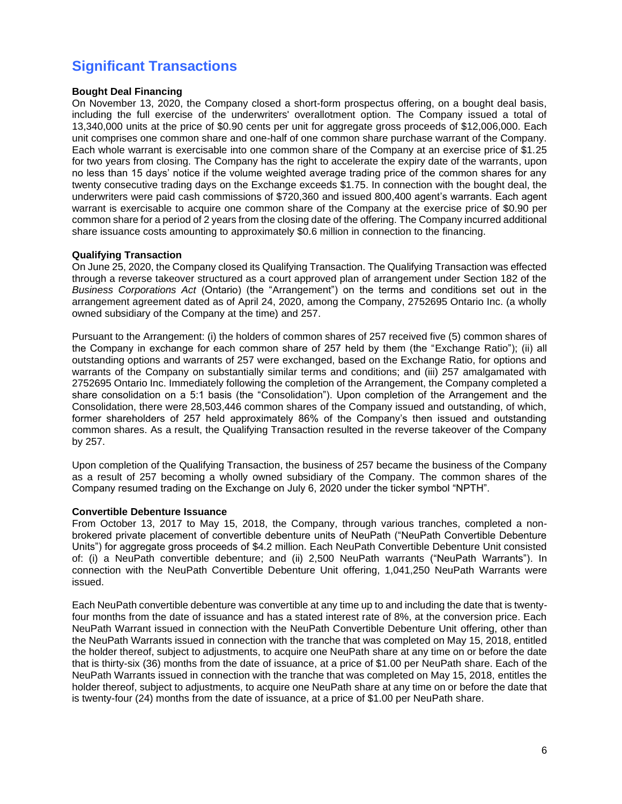# **Significant Transactions**

## **Bought Deal Financing**

On November 13, 2020, the Company closed a short-form prospectus offering, on a bought deal basis, including the full exercise of the underwriters' overallotment option. The Company issued a total of 13,340,000 units at the price of \$0.90 cents per unit for aggregate gross proceeds of \$12,006,000. Each unit comprises one common share and one-half of one common share purchase warrant of the Company. Each whole warrant is exercisable into one common share of the Company at an exercise price of \$1.25 for two years from closing. The Company has the right to accelerate the expiry date of the warrants, upon no less than 15 days' notice if the volume weighted average trading price of the common shares for any twenty consecutive trading days on the Exchange exceeds \$1.75. In connection with the bought deal, the underwriters were paid cash commissions of \$720,360 and issued 800,400 agent's warrants. Each agent warrant is exercisable to acquire one common share of the Company at the exercise price of \$0.90 per common share for a period of 2 years from the closing date of the offering. The Company incurred additional share issuance costs amounting to approximately \$0.6 million in connection to the financing.

#### **Qualifying Transaction**

On June 25, 2020, the Company closed its Qualifying Transaction. The Qualifying Transaction was effected through a reverse takeover structured as a court approved plan of arrangement under Section 182 of the *Business Corporations Act* (Ontario) (the "Arrangement") on the terms and conditions set out in the arrangement agreement dated as of April 24, 2020, among the Company, 2752695 Ontario Inc. (a wholly owned subsidiary of the Company at the time) and 257.

Pursuant to the Arrangement: (i) the holders of common shares of 257 received five (5) common shares of the Company in exchange for each common share of 257 held by them (the "Exchange Ratio"); (ii) all outstanding options and warrants of 257 were exchanged, based on the Exchange Ratio, for options and warrants of the Company on substantially similar terms and conditions; and (iii) 257 amalgamated with 2752695 Ontario Inc. Immediately following the completion of the Arrangement, the Company completed a share consolidation on a 5:1 basis (the "Consolidation"). Upon completion of the Arrangement and the Consolidation, there were 28,503,446 common shares of the Company issued and outstanding, of which, former shareholders of 257 held approximately 86% of the Company's then issued and outstanding common shares. As a result, the Qualifying Transaction resulted in the reverse takeover of the Company by 257.

Upon completion of the Qualifying Transaction, the business of 257 became the business of the Company as a result of 257 becoming a wholly owned subsidiary of the Company. The common shares of the Company resumed trading on the Exchange on July 6, 2020 under the ticker symbol "NPTH".

#### **Convertible Debenture Issuance**

From October 13, 2017 to May 15, 2018, the Company, through various tranches, completed a nonbrokered private placement of convertible debenture units of NeuPath ("NeuPath Convertible Debenture Units") for aggregate gross proceeds of \$4.2 million. Each NeuPath Convertible Debenture Unit consisted of: (i) a NeuPath convertible debenture; and (ii) 2,500 NeuPath warrants ("NeuPath Warrants"). In connection with the NeuPath Convertible Debenture Unit offering, 1,041,250 NeuPath Warrants were issued.

Each NeuPath convertible debenture was convertible at any time up to and including the date that is twentyfour months from the date of issuance and has a stated interest rate of 8%, at the conversion price. Each NeuPath Warrant issued in connection with the NeuPath Convertible Debenture Unit offering, other than the NeuPath Warrants issued in connection with the tranche that was completed on May 15, 2018, entitled the holder thereof, subject to adjustments, to acquire one NeuPath share at any time on or before the date that is thirty-six (36) months from the date of issuance, at a price of \$1.00 per NeuPath share. Each of the NeuPath Warrants issued in connection with the tranche that was completed on May 15, 2018, entitles the holder thereof, subject to adjustments, to acquire one NeuPath share at any time on or before the date that is twenty-four (24) months from the date of issuance, at a price of \$1.00 per NeuPath share.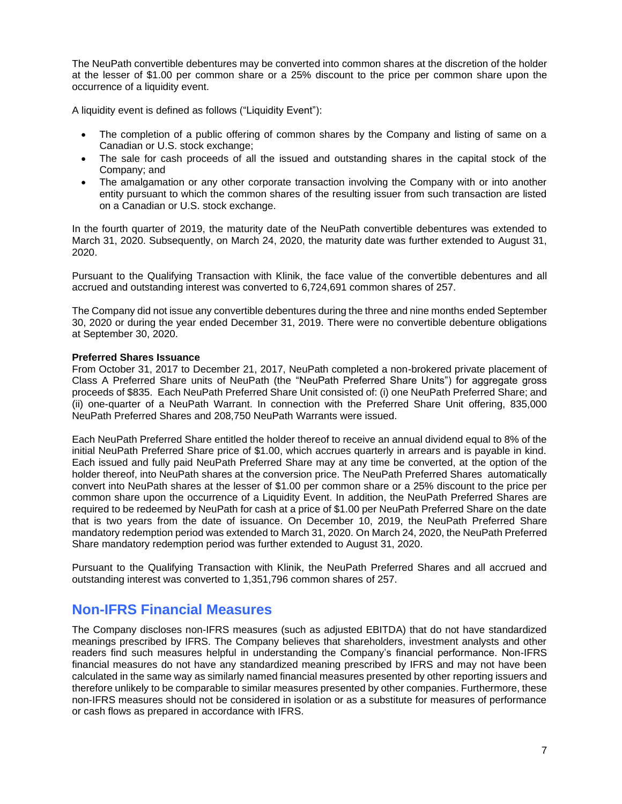The NeuPath convertible debentures may be converted into common shares at the discretion of the holder at the lesser of \$1.00 per common share or a 25% discount to the price per common share upon the occurrence of a liquidity event.

A liquidity event is defined as follows ("Liquidity Event"):

- The completion of a public offering of common shares by the Company and listing of same on a Canadian or U.S. stock exchange;
- The sale for cash proceeds of all the issued and outstanding shares in the capital stock of the Company; and
- The amalgamation or any other corporate transaction involving the Company with or into another entity pursuant to which the common shares of the resulting issuer from such transaction are listed on a Canadian or U.S. stock exchange.

In the fourth quarter of 2019, the maturity date of the NeuPath convertible debentures was extended to March 31, 2020. Subsequently, on March 24, 2020, the maturity date was further extended to August 31, 2020.

Pursuant to the Qualifying Transaction with Klinik, the face value of the convertible debentures and all accrued and outstanding interest was converted to 6,724,691 common shares of 257.

The Company did not issue any convertible debentures during the three and nine months ended September 30, 2020 or during the year ended December 31, 2019. There were no convertible debenture obligations at September 30, 2020.

#### **Preferred Shares Issuance**

From October 31, 2017 to December 21, 2017, NeuPath completed a non-brokered private placement of Class A Preferred Share units of NeuPath (the "NeuPath Preferred Share Units") for aggregate gross proceeds of \$835. Each NeuPath Preferred Share Unit consisted of: (i) one NeuPath Preferred Share; and (ii) one-quarter of a NeuPath Warrant. In connection with the Preferred Share Unit offering, 835,000 NeuPath Preferred Shares and 208,750 NeuPath Warrants were issued.

Each NeuPath Preferred Share entitled the holder thereof to receive an annual dividend equal to 8% of the initial NeuPath Preferred Share price of \$1.00, which accrues quarterly in arrears and is payable in kind. Each issued and fully paid NeuPath Preferred Share may at any time be converted, at the option of the holder thereof, into NeuPath shares at the conversion price. The NeuPath Preferred Shares automatically convert into NeuPath shares at the lesser of \$1.00 per common share or a 25% discount to the price per common share upon the occurrence of a Liquidity Event. In addition, the NeuPath Preferred Shares are required to be redeemed by NeuPath for cash at a price of \$1.00 per NeuPath Preferred Share on the date that is two years from the date of issuance. On December 10, 2019, the NeuPath Preferred Share mandatory redemption period was extended to March 31, 2020. On March 24, 2020, the NeuPath Preferred Share mandatory redemption period was further extended to August 31, 2020.

Pursuant to the Qualifying Transaction with Klinik, the NeuPath Preferred Shares and all accrued and outstanding interest was converted to 1,351,796 common shares of 257.

# **Non-IFRS Financial Measures**

The Company discloses non-IFRS measures (such as adjusted EBITDA) that do not have standardized meanings prescribed by IFRS. The Company believes that shareholders, investment analysts and other readers find such measures helpful in understanding the Company's financial performance. Non-IFRS financial measures do not have any standardized meaning prescribed by IFRS and may not have been calculated in the same way as similarly named financial measures presented by other reporting issuers and therefore unlikely to be comparable to similar measures presented by other companies. Furthermore, these non-IFRS measures should not be considered in isolation or as a substitute for measures of performance or cash flows as prepared in accordance with IFRS.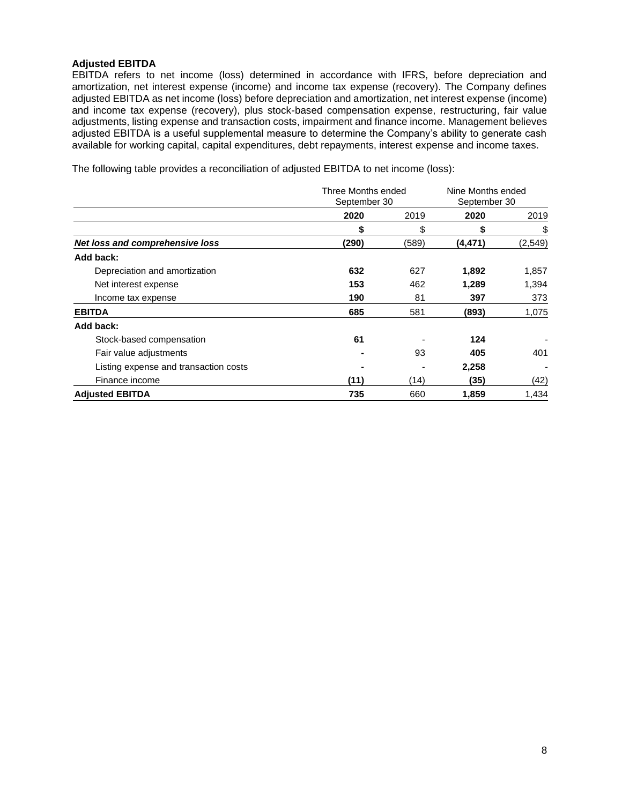## **Adjusted EBITDA**

EBITDA refers to net income (loss) determined in accordance with IFRS, before depreciation and amortization, net interest expense (income) and income tax expense (recovery). The Company defines adjusted EBITDA as net income (loss) before depreciation and amortization, net interest expense (income) and income tax expense (recovery), plus stock-based compensation expense, restructuring, fair value adjustments, listing expense and transaction costs, impairment and finance income. Management believes adjusted EBITDA is a useful supplemental measure to determine the Company's ability to generate cash available for working capital, capital expenditures, debt repayments, interest expense and income taxes.

The following table provides a reconciliation of adjusted EBITDA to net income (loss):

|                                       |       | Three Months ended<br>September 30 |         | Nine Months ended<br>September 30 |
|---------------------------------------|-------|------------------------------------|---------|-----------------------------------|
|                                       | 2020  | 2019                               | 2020    | 2019                              |
|                                       | S     | \$                                 | \$      | \$                                |
| Net loss and comprehensive loss       | (290) | (589)                              | (4,471) | (2, 549)                          |
| Add back:                             |       |                                    |         |                                   |
| Depreciation and amortization         | 632   | 627                                | 1,892   | 1,857                             |
| Net interest expense                  | 153   | 462                                | 1,289   | 1,394                             |
| Income tax expense                    | 190   | 81                                 | 397     | 373                               |
| <b>EBITDA</b>                         | 685   | 581                                | (893)   | 1,075                             |
| Add back:                             |       |                                    |         |                                   |
| Stock-based compensation              | 61    |                                    | 124     |                                   |
| Fair value adjustments                |       | 93                                 | 405     | 401                               |
| Listing expense and transaction costs |       |                                    | 2,258   |                                   |
| Finance income                        | (11)  | (14)                               | (35)    | (42)                              |
| <b>Adjusted EBITDA</b>                | 735   | 660                                | 1,859   | 1,434                             |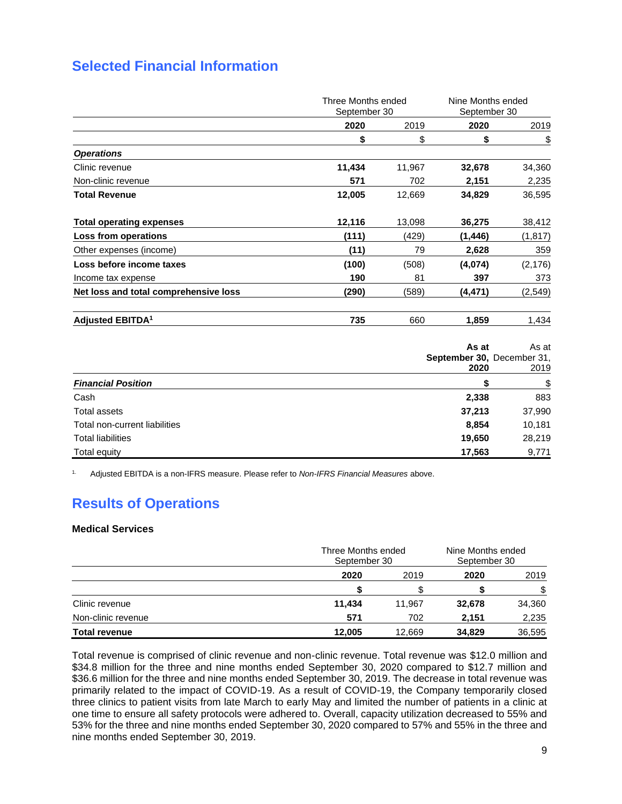# **Selected Financial Information**

|                                       | Three Months ended<br>September 30 |        | Nine Months ended<br>September 30 |          |
|---------------------------------------|------------------------------------|--------|-----------------------------------|----------|
|                                       | 2020                               | 2019   | 2020                              | 2019     |
|                                       | \$                                 | \$     | \$                                | \$       |
| <b>Operations</b>                     |                                    |        |                                   |          |
| Clinic revenue                        | 11,434                             | 11,967 | 32,678                            | 34,360   |
| Non-clinic revenue                    | 571                                | 702    | 2,151                             | 2,235    |
| <b>Total Revenue</b>                  | 12,005                             | 12,669 | 34,829                            | 36,595   |
| <b>Total operating expenses</b>       | 12,116                             | 13,098 | 36,275                            | 38,412   |
| Loss from operations                  | (111)                              | (429)  | (1,446)                           | (1, 817) |
| Other expenses (income)               | (11)                               | 79     | 2,628                             | 359      |
| Loss before income taxes              | (100)                              | (508)  | (4,074)                           | (2, 176) |
| Income tax expense                    | 190                                | 81     | 397                               | 373      |
| Net loss and total comprehensive loss | (290)                              | (589)  | (4,471)                           | (2, 549) |
| <b>Adjusted EBITDA<sup>1</sup></b>    | 735                                | 660    | 1,859                             | 1,434    |

|                               | As at<br>September 30, December 31,<br>2020 | As at<br>2019 |
|-------------------------------|---------------------------------------------|---------------|
| <b>Financial Position</b>     |                                             | \$            |
| Cash                          | 2,338                                       | 883           |
| <b>Total assets</b>           | 37,213                                      | 37,990        |
| Total non-current liabilities | 8,854                                       | 10,181        |
| <b>Total liabilities</b>      | 19,650                                      | 28,219        |
| Total equity                  | 17,563                                      | 9,771         |

1. Adjusted EBITDA is a non-IFRS measure. Please refer to *Non-IFRS Financial Measures* above.

# **Results of Operations**

#### **Medical Services**

|                      |        | Three Months ended<br>September 30 |        | Nine Months ended<br>September 30 |
|----------------------|--------|------------------------------------|--------|-----------------------------------|
|                      | 2020   | 2019                               | 2020   | 2019                              |
|                      |        |                                    |        |                                   |
| Clinic revenue       | 11.434 | 11.967                             | 32,678 | 34,360                            |
| Non-clinic revenue   | 571    | 702                                | 2,151  | 2,235                             |
| <b>Total revenue</b> | 12.005 | 12.669                             | 34.829 | 36,595                            |

Total revenue is comprised of clinic revenue and non-clinic revenue. Total revenue was \$12.0 million and \$34.8 million for the three and nine months ended September 30, 2020 compared to \$12.7 million and \$36.6 million for the three and nine months ended September 30, 2019. The decrease in total revenue was primarily related to the impact of COVID-19. As a result of COVID-19, the Company temporarily closed three clinics to patient visits from late March to early May and limited the number of patients in a clinic at one time to ensure all safety protocols were adhered to. Overall, capacity utilization decreased to 55% and 53% for the three and nine months ended September 30, 2020 compared to 57% and 55% in the three and nine months ended September 30, 2019.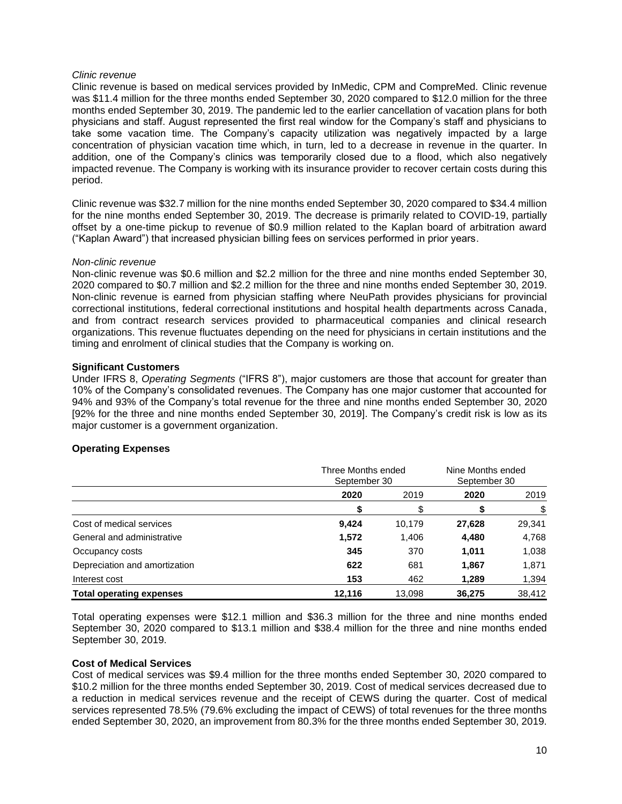#### *Clinic revenue*

Clinic revenue is based on medical services provided by InMedic, CPM and CompreMed. Clinic revenue was \$11.4 million for the three months ended September 30, 2020 compared to \$12.0 million for the three months ended September 30, 2019. The pandemic led to the earlier cancellation of vacation plans for both physicians and staff. August represented the first real window for the Company's staff and physicians to take some vacation time. The Company's capacity utilization was negatively impacted by a large concentration of physician vacation time which, in turn, led to a decrease in revenue in the quarter. In addition, one of the Company's clinics was temporarily closed due to a flood, which also negatively impacted revenue. The Company is working with its insurance provider to recover certain costs during this period.

Clinic revenue was \$32.7 million for the nine months ended September 30, 2020 compared to \$34.4 million for the nine months ended September 30, 2019. The decrease is primarily related to COVID-19, partially offset by a one-time pickup to revenue of \$0.9 million related to the Kaplan board of arbitration award ("Kaplan Award") that increased physician billing fees on services performed in prior years.

#### *Non-clinic revenue*

Non-clinic revenue was \$0.6 million and \$2.2 million for the three and nine months ended September 30, 2020 compared to \$0.7 million and \$2.2 million for the three and nine months ended September 30, 2019. Non-clinic revenue is earned from physician staffing where NeuPath provides physicians for provincial correctional institutions, federal correctional institutions and hospital health departments across Canada, and from contract research services provided to pharmaceutical companies and clinical research organizations. This revenue fluctuates depending on the need for physicians in certain institutions and the timing and enrolment of clinical studies that the Company is working on.

#### **Significant Customers**

Under IFRS 8, *Operating Segments* ("IFRS 8"), major customers are those that account for greater than 10% of the Company's consolidated revenues. The Company has one major customer that accounted for 94% and 93% of the Company's total revenue for the three and nine months ended September 30, 2020 [92% for the three and nine months ended September 30, 2019]. The Company's credit risk is low as its major customer is a government organization.

#### **Operating Expenses**

|                                 | Three Months ended<br>September 30 |              | Nine Months ended<br>September 30 |        |      |
|---------------------------------|------------------------------------|--------------|-----------------------------------|--------|------|
|                                 | 2020                               | 2020<br>2019 |                                   |        | 2019 |
|                                 |                                    |              |                                   |        |      |
| Cost of medical services        | 9,424                              | 10,179       | 27,628                            | 29,341 |      |
| General and administrative      | 1,572                              | 1,406        | 4,480                             | 4,768  |      |
| Occupancy costs                 | 345                                | 370          | 1,011                             | 1,038  |      |
| Depreciation and amortization   | 622                                | 681          | 1,867                             | 1,871  |      |
| Interest cost                   | 153                                | 462          | 1,289                             | 1,394  |      |
| <b>Total operating expenses</b> | 12.116                             | 13.098       | 36,275                            | 38.412 |      |

Total operating expenses were \$12.1 million and \$36.3 million for the three and nine months ended September 30, 2020 compared to \$13.1 million and \$38.4 million for the three and nine months ended September 30, 2019.

#### **Cost of Medical Services**

Cost of medical services was \$9.4 million for the three months ended September 30, 2020 compared to \$10.2 million for the three months ended September 30, 2019. Cost of medical services decreased due to a reduction in medical services revenue and the receipt of CEWS during the quarter. Cost of medical services represented 78.5% (79.6% excluding the impact of CEWS) of total revenues for the three months ended September 30, 2020, an improvement from 80.3% for the three months ended September 30, 2019.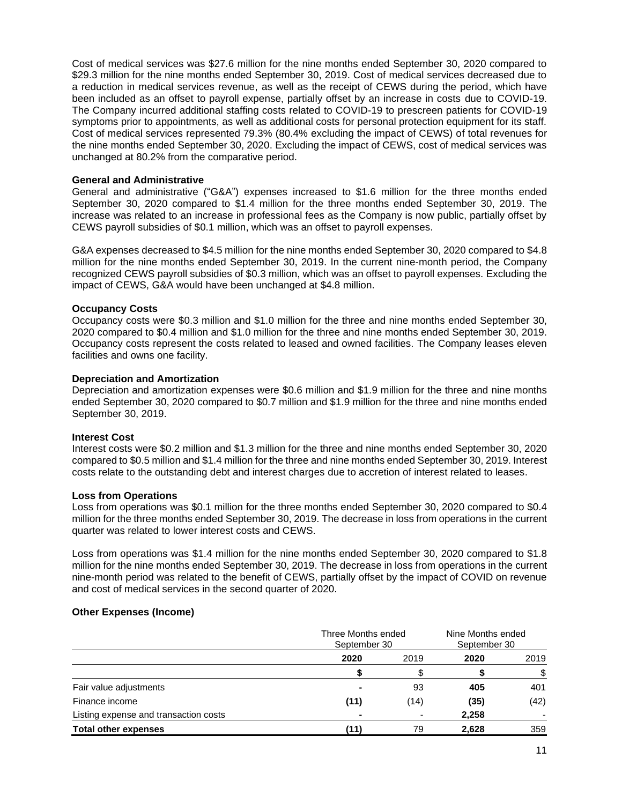Cost of medical services was \$27.6 million for the nine months ended September 30, 2020 compared to \$29.3 million for the nine months ended September 30, 2019. Cost of medical services decreased due to a reduction in medical services revenue, as well as the receipt of CEWS during the period, which have been included as an offset to payroll expense, partially offset by an increase in costs due to COVID-19. The Company incurred additional staffing costs related to COVID-19 to prescreen patients for COVID-19 symptoms prior to appointments, as well as additional costs for personal protection equipment for its staff. Cost of medical services represented 79.3% (80.4% excluding the impact of CEWS) of total revenues for the nine months ended September 30, 2020. Excluding the impact of CEWS, cost of medical services was unchanged at 80.2% from the comparative period.

#### **General and Administrative**

General and administrative ("G&A") expenses increased to \$1.6 million for the three months ended September 30, 2020 compared to \$1.4 million for the three months ended September 30, 2019. The increase was related to an increase in professional fees as the Company is now public, partially offset by CEWS payroll subsidies of \$0.1 million, which was an offset to payroll expenses.

G&A expenses decreased to \$4.5 million for the nine months ended September 30, 2020 compared to \$4.8 million for the nine months ended September 30, 2019. In the current nine-month period, the Company recognized CEWS payroll subsidies of \$0.3 million, which was an offset to payroll expenses. Excluding the impact of CEWS, G&A would have been unchanged at \$4.8 million.

#### **Occupancy Costs**

Occupancy costs were \$0.3 million and \$1.0 million for the three and nine months ended September 30, 2020 compared to \$0.4 million and \$1.0 million for the three and nine months ended September 30, 2019. Occupancy costs represent the costs related to leased and owned facilities. The Company leases eleven facilities and owns one facility.

#### **Depreciation and Amortization**

Depreciation and amortization expenses were \$0.6 million and \$1.9 million for the three and nine months ended September 30, 2020 compared to \$0.7 million and \$1.9 million for the three and nine months ended September 30, 2019.

#### **Interest Cost**

Interest costs were \$0.2 million and \$1.3 million for the three and nine months ended September 30, 2020 compared to \$0.5 million and \$1.4 million for the three and nine months ended September 30, 2019. Interest costs relate to the outstanding debt and interest charges due to accretion of interest related to leases.

#### **Loss from Operations**

Loss from operations was \$0.1 million for the three months ended September 30, 2020 compared to \$0.4 million for the three months ended September 30, 2019. The decrease in loss from operations in the current quarter was related to lower interest costs and CEWS.

Loss from operations was \$1.4 million for the nine months ended September 30, 2020 compared to \$1.8 million for the nine months ended September 30, 2019. The decrease in loss from operations in the current nine-month period was related to the benefit of CEWS, partially offset by the impact of COVID on revenue and cost of medical services in the second quarter of 2020.

#### **Other Expenses (Income)**

|                                       | Three Months ended<br>September 30 |      | Nine Months ended<br>September 30 |      |
|---------------------------------------|------------------------------------|------|-----------------------------------|------|
|                                       | 2020                               | 2019 | 2020                              | 2019 |
|                                       |                                    |      |                                   | \$   |
| Fair value adjustments                |                                    | 93   | 405                               | 401  |
| Finance income                        | (11)                               | (14) | (35)                              | (42) |
| Listing expense and transaction costs | -                                  |      | 2,258                             |      |
| <b>Total other expenses</b>           | (11)                               | 79   | 2,628                             | 359  |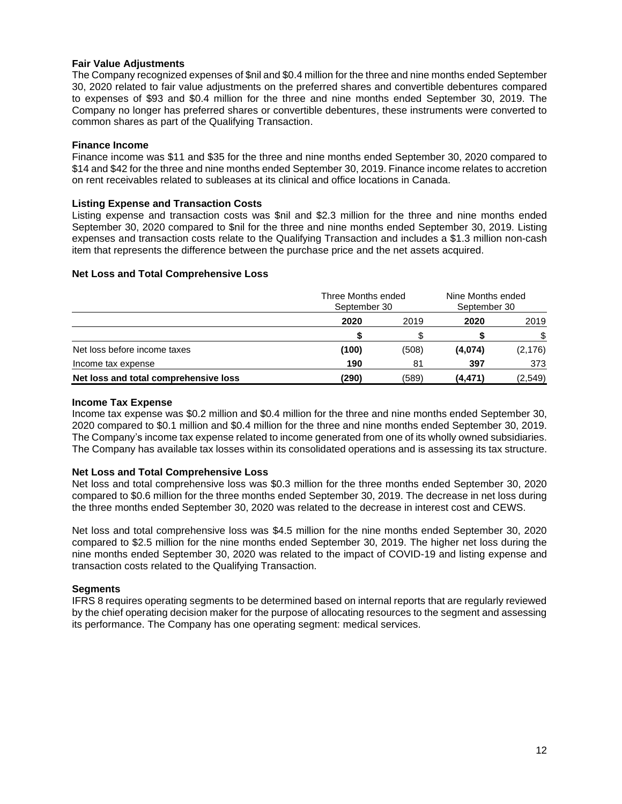## **Fair Value Adjustments**

The Company recognized expenses of \$nil and \$0.4 million for the three and nine months ended September 30, 2020 related to fair value adjustments on the preferred shares and convertible debentures compared to expenses of \$93 and \$0.4 million for the three and nine months ended September 30, 2019. The Company no longer has preferred shares or convertible debentures, these instruments were converted to common shares as part of the Qualifying Transaction.

### **Finance Income**

Finance income was \$11 and \$35 for the three and nine months ended September 30, 2020 compared to \$14 and \$42 for the three and nine months ended September 30, 2019. Finance income relates to accretion on rent receivables related to subleases at its clinical and office locations in Canada.

## **Listing Expense and Transaction Costs**

Listing expense and transaction costs was \$nil and \$2.3 million for the three and nine months ended September 30, 2020 compared to \$nil for the three and nine months ended September 30, 2019. Listing expenses and transaction costs relate to the Qualifying Transaction and includes a \$1.3 million non-cash item that represents the difference between the purchase price and the net assets acquired.

## **Net Loss and Total Comprehensive Loss**

|                                       | Three Months ended<br>September 30 |       | Nine Months ended<br>September 30 |          |  |
|---------------------------------------|------------------------------------|-------|-----------------------------------|----------|--|
|                                       | 2020                               | 2019  | 2020                              | 2019     |  |
|                                       |                                    |       |                                   |          |  |
| Net loss before income taxes          | (100)                              | (508) | (4,074)                           | (2, 176) |  |
| Income tax expense                    | 190                                | 81    | 397                               | 373      |  |
| Net loss and total comprehensive loss | (290)                              | (589) | (4,471)                           | (2, 549) |  |

#### **Income Tax Expense**

Income tax expense was \$0.2 million and \$0.4 million for the three and nine months ended September 30, 2020 compared to \$0.1 million and \$0.4 million for the three and nine months ended September 30, 2019. The Company's income tax expense related to income generated from one of its wholly owned subsidiaries. The Company has available tax losses within its consolidated operations and is assessing its tax structure.

#### **Net Loss and Total Comprehensive Loss**

Net loss and total comprehensive loss was \$0.3 million for the three months ended September 30, 2020 compared to \$0.6 million for the three months ended September 30, 2019. The decrease in net loss during the three months ended September 30, 2020 was related to the decrease in interest cost and CEWS.

Net loss and total comprehensive loss was \$4.5 million for the nine months ended September 30, 2020 compared to \$2.5 million for the nine months ended September 30, 2019. The higher net loss during the nine months ended September 30, 2020 was related to the impact of COVID-19 and listing expense and transaction costs related to the Qualifying Transaction.

#### **Segments**

IFRS 8 requires operating segments to be determined based on internal reports that are regularly reviewed by the chief operating decision maker for the purpose of allocating resources to the segment and assessing its performance. The Company has one operating segment: medical services.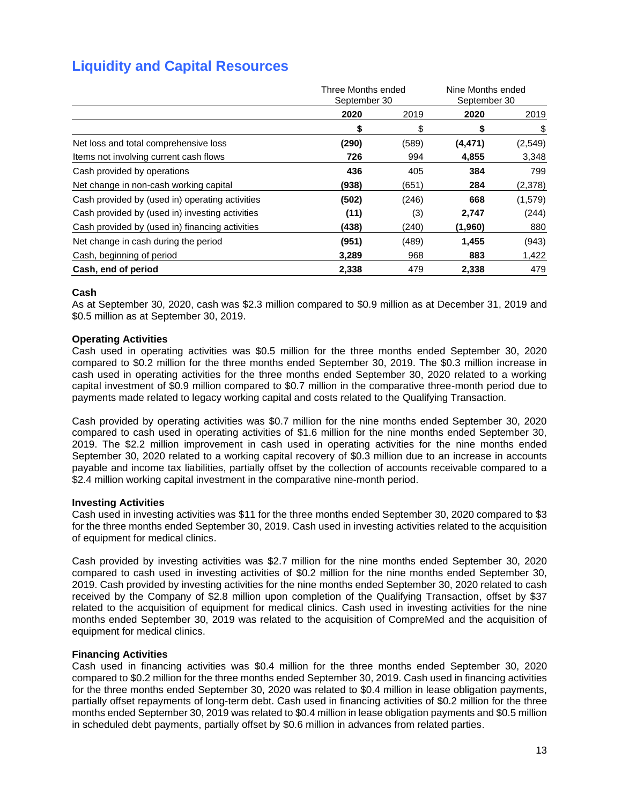# **Liquidity and Capital Resources**

|                                                 | Three Months ended<br>September 30 |       | Nine Months ended<br>September 30 |         |
|-------------------------------------------------|------------------------------------|-------|-----------------------------------|---------|
|                                                 | 2020                               | 2019  | 2020                              | 2019    |
|                                                 | S                                  | \$    | S                                 | \$      |
| Net loss and total comprehensive loss           | (290)                              | (589) | (4, 471)                          | (2,549) |
| Items not involving current cash flows          | 726                                | 994   | 4,855                             | 3,348   |
| Cash provided by operations                     | 436                                | 405   | 384                               | 799     |
| Net change in non-cash working capital          | (938)                              | (651) | 284                               | (2,378) |
| Cash provided by (used in) operating activities | (502)                              | (246) | 668                               | (1,579) |
| Cash provided by (used in) investing activities | (11)                               | (3)   | 2,747                             | (244)   |
| Cash provided by (used in) financing activities | (438)                              | (240) | (1,960)                           | 880     |
| Net change in cash during the period            | (951)                              | (489) | 1,455                             | (943)   |
| Cash, beginning of period                       | 3,289                              | 968   | 883                               | 1,422   |
| Cash, end of period                             | 2,338                              | 479   | 2,338                             | 479     |

## **Cash**

As at September 30, 2020, cash was \$2.3 million compared to \$0.9 million as at December 31, 2019 and \$0.5 million as at September 30, 2019.

#### **Operating Activities**

Cash used in operating activities was \$0.5 million for the three months ended September 30, 2020 compared to \$0.2 million for the three months ended September 30, 2019. The \$0.3 million increase in cash used in operating activities for the three months ended September 30, 2020 related to a working capital investment of \$0.9 million compared to \$0.7 million in the comparative three-month period due to payments made related to legacy working capital and costs related to the Qualifying Transaction.

Cash provided by operating activities was \$0.7 million for the nine months ended September 30, 2020 compared to cash used in operating activities of \$1.6 million for the nine months ended September 30, 2019. The \$2.2 million improvement in cash used in operating activities for the nine months ended September 30, 2020 related to a working capital recovery of \$0.3 million due to an increase in accounts payable and income tax liabilities, partially offset by the collection of accounts receivable compared to a \$2.4 million working capital investment in the comparative nine-month period.

#### **Investing Activities**

Cash used in investing activities was \$11 for the three months ended September 30, 2020 compared to \$3 for the three months ended September 30, 2019. Cash used in investing activities related to the acquisition of equipment for medical clinics.

Cash provided by investing activities was \$2.7 million for the nine months ended September 30, 2020 compared to cash used in investing activities of \$0.2 million for the nine months ended September 30, 2019. Cash provided by investing activities for the nine months ended September 30, 2020 related to cash received by the Company of \$2.8 million upon completion of the Qualifying Transaction, offset by \$37 related to the acquisition of equipment for medical clinics. Cash used in investing activities for the nine months ended September 30, 2019 was related to the acquisition of CompreMed and the acquisition of equipment for medical clinics.

## **Financing Activities**

Cash used in financing activities was \$0.4 million for the three months ended September 30, 2020 compared to \$0.2 million for the three months ended September 30, 2019. Cash used in financing activities for the three months ended September 30, 2020 was related to \$0.4 million in lease obligation payments, partially offset repayments of long-term debt. Cash used in financing activities of \$0.2 million for the three months ended September 30, 2019 was related to \$0.4 million in lease obligation payments and \$0.5 million in scheduled debt payments, partially offset by \$0.6 million in advances from related parties.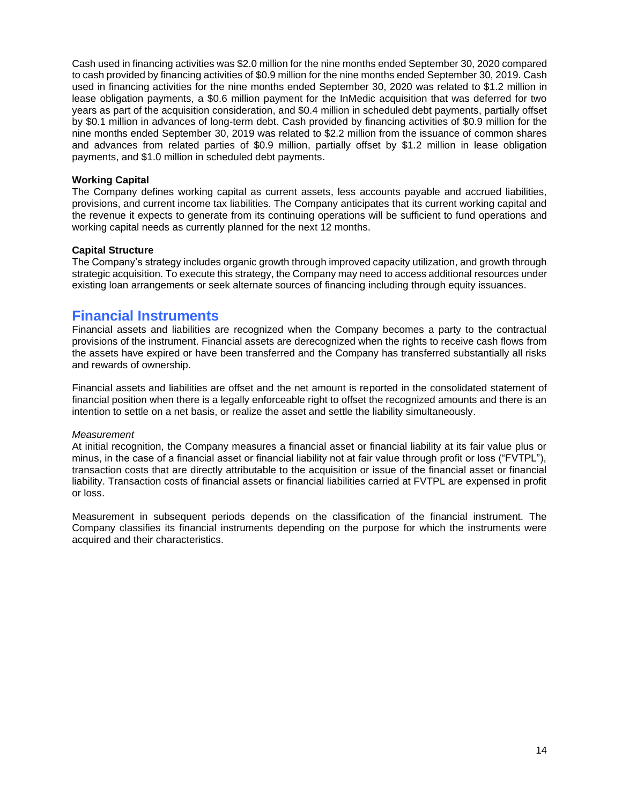Cash used in financing activities was \$2.0 million for the nine months ended September 30, 2020 compared to cash provided by financing activities of \$0.9 million for the nine months ended September 30, 2019. Cash used in financing activities for the nine months ended September 30, 2020 was related to \$1.2 million in lease obligation payments, a \$0.6 million payment for the InMedic acquisition that was deferred for two years as part of the acquisition consideration, and \$0.4 million in scheduled debt payments, partially offset by \$0.1 million in advances of long-term debt. Cash provided by financing activities of \$0.9 million for the nine months ended September 30, 2019 was related to \$2.2 million from the issuance of common shares and advances from related parties of \$0.9 million, partially offset by \$1.2 million in lease obligation payments, and \$1.0 million in scheduled debt payments.

#### **Working Capital**

The Company defines working capital as current assets, less accounts payable and accrued liabilities, provisions, and current income tax liabilities. The Company anticipates that its current working capital and the revenue it expects to generate from its continuing operations will be sufficient to fund operations and working capital needs as currently planned for the next 12 months.

#### **Capital Structure**

The Company's strategy includes organic growth through improved capacity utilization, and growth through strategic acquisition. To execute this strategy, the Company may need to access additional resources under existing loan arrangements or seek alternate sources of financing including through equity issuances.

## **Financial Instruments**

Financial assets and liabilities are recognized when the Company becomes a party to the contractual provisions of the instrument. Financial assets are derecognized when the rights to receive cash flows from the assets have expired or have been transferred and the Company has transferred substantially all risks and rewards of ownership.

Financial assets and liabilities are offset and the net amount is reported in the consolidated statement of financial position when there is a legally enforceable right to offset the recognized amounts and there is an intention to settle on a net basis, or realize the asset and settle the liability simultaneously.

#### *Measurement*

At initial recognition, the Company measures a financial asset or financial liability at its fair value plus or minus, in the case of a financial asset or financial liability not at fair value through profit or loss ("FVTPL"), transaction costs that are directly attributable to the acquisition or issue of the financial asset or financial liability. Transaction costs of financial assets or financial liabilities carried at FVTPL are expensed in profit or loss.

Measurement in subsequent periods depends on the classification of the financial instrument. The Company classifies its financial instruments depending on the purpose for which the instruments were acquired and their characteristics.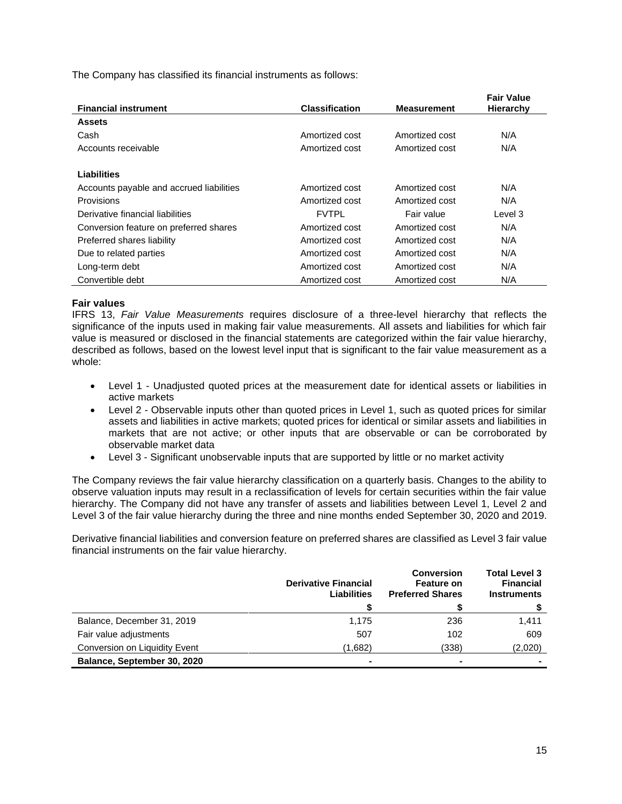The Company has classified its financial instruments as follows:

| <b>Financial instrument</b>              | <b>Classification</b> | <b>Measurement</b> | <b>Fair Value</b><br>Hierarchy |
|------------------------------------------|-----------------------|--------------------|--------------------------------|
|                                          |                       |                    |                                |
| <b>Assets</b>                            |                       |                    |                                |
| Cash                                     | Amortized cost        | Amortized cost     | N/A                            |
| Accounts receivable                      | Amortized cost        | Amortized cost     | N/A                            |
|                                          |                       |                    |                                |
| Liabilities                              |                       |                    |                                |
| Accounts payable and accrued liabilities | Amortized cost        | Amortized cost     | N/A                            |
| Provisions                               | Amortized cost        | Amortized cost     | N/A                            |
| Derivative financial liabilities         | <b>FVTPL</b>          | Fair value         | Level 3                        |
| Conversion feature on preferred shares   | Amortized cost        | Amortized cost     | N/A                            |
| Preferred shares liability               | Amortized cost        | Amortized cost     | N/A                            |
| Due to related parties                   | Amortized cost        | Amortized cost     | N/A                            |
| Long-term debt                           | Amortized cost        | Amortized cost     | N/A                            |
| Convertible debt                         | Amortized cost        | Amortized cost     | N/A                            |

## **Fair values**

IFRS 13, *Fair Value Measurements* requires disclosure of a three-level hierarchy that reflects the significance of the inputs used in making fair value measurements. All assets and liabilities for which fair value is measured or disclosed in the financial statements are categorized within the fair value hierarchy, described as follows, based on the lowest level input that is significant to the fair value measurement as a whole:

- Level 1 Unadjusted quoted prices at the measurement date for identical assets or liabilities in active markets
- Level 2 Observable inputs other than quoted prices in Level 1, such as quoted prices for similar assets and liabilities in active markets; quoted prices for identical or similar assets and liabilities in markets that are not active; or other inputs that are observable or can be corroborated by observable market data
- Level 3 Significant unobservable inputs that are supported by little or no market activity

The Company reviews the fair value hierarchy classification on a quarterly basis. Changes to the ability to observe valuation inputs may result in a reclassification of levels for certain securities within the fair value hierarchy. The Company did not have any transfer of assets and liabilities between Level 1, Level 2 and Level 3 of the fair value hierarchy during the three and nine months ended September 30, 2020 and 2019.

Derivative financial liabilities and conversion feature on preferred shares are classified as Level 3 fair value financial instruments on the fair value hierarchy.

|                               | <b>Derivative Financial</b><br>Liabilities | <b>Conversion</b><br><b>Feature on</b><br><b>Preferred Shares</b> | <b>Total Level 3</b><br><b>Financial</b><br><b>Instruments</b> |
|-------------------------------|--------------------------------------------|-------------------------------------------------------------------|----------------------------------------------------------------|
|                               |                                            |                                                                   |                                                                |
| Balance, December 31, 2019    | 1,175                                      | 236                                                               | 1,411                                                          |
| Fair value adjustments        | 507                                        | 102                                                               | 609                                                            |
| Conversion on Liquidity Event | (1,682)                                    | (338)                                                             | (2,020)                                                        |
| Balance, September 30, 2020   |                                            |                                                                   |                                                                |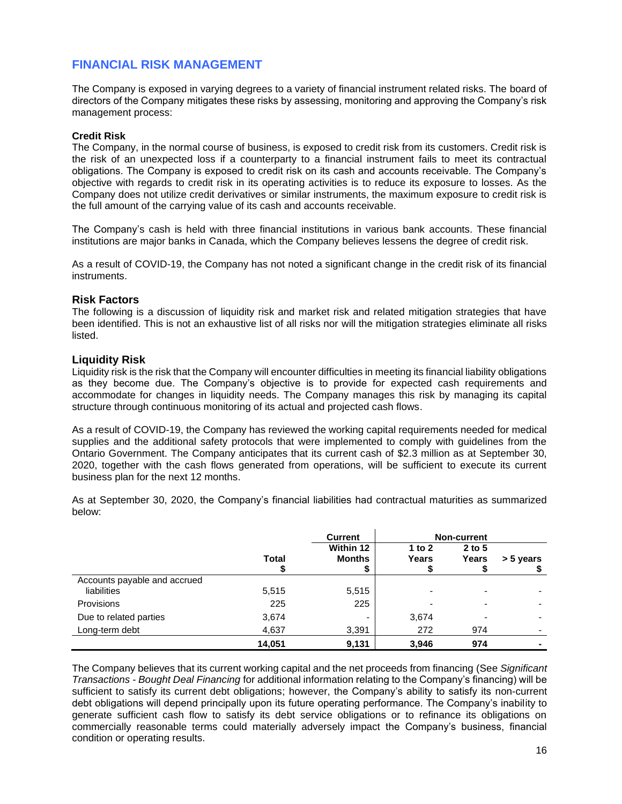## **FINANCIAL RISK MANAGEMENT**

The Company is exposed in varying degrees to a variety of financial instrument related risks. The board of directors of the Company mitigates these risks by assessing, monitoring and approving the Company's risk management process:

### **Credit Risk**

The Company, in the normal course of business, is exposed to credit risk from its customers. Credit risk is the risk of an unexpected loss if a counterparty to a financial instrument fails to meet its contractual obligations. The Company is exposed to credit risk on its cash and accounts receivable. The Company's objective with regards to credit risk in its operating activities is to reduce its exposure to losses. As the Company does not utilize credit derivatives or similar instruments, the maximum exposure to credit risk is the full amount of the carrying value of its cash and accounts receivable.

The Company's cash is held with three financial institutions in various bank accounts. These financial institutions are major banks in Canada, which the Company believes lessens the degree of credit risk.

As a result of COVID-19, the Company has not noted a significant change in the credit risk of its financial instruments.

## **Risk Factors**

The following is a discussion of liquidity risk and market risk and related mitigation strategies that have been identified. This is not an exhaustive list of all risks nor will the mitigation strategies eliminate all risks listed.

## **Liquidity Risk**

Liquidity risk is the risk that the Company will encounter difficulties in meeting its financial liability obligations as they become due. The Company's objective is to provide for expected cash requirements and accommodate for changes in liquidity needs. The Company manages this risk by managing its capital structure through continuous monitoring of its actual and projected cash flows.

As a result of COVID-19, the Company has reviewed the working capital requirements needed for medical supplies and the additional safety protocols that were implemented to comply with guidelines from the Ontario Government. The Company anticipates that its current cash of \$2.3 million as at September 30, 2020, together with the cash flows generated from operations, will be sufficient to execute its current business plan for the next 12 months.

As at September 30, 2020, the Company's financial liabilities had contractual maturities as summarized below:

|                                             |        | <b>Current</b>             |                          | Non-current       |                |
|---------------------------------------------|--------|----------------------------|--------------------------|-------------------|----------------|
|                                             | Total  | Within 12<br><b>Months</b> | 1 to $2$<br>Years        | $2$ to 5<br>Years | > 5 years      |
| Accounts payable and accrued<br>liabilities | 5,515  | 5,515                      | $\overline{\phantom{0}}$ |                   |                |
| Provisions                                  | 225    | 225                        | $\overline{\phantom{0}}$ |                   |                |
| Due to related parties                      | 3,674  | ۰                          | 3,674                    |                   |                |
| Long-term debt                              | 4,637  | 3,391                      | 272                      | 974               |                |
|                                             | 14.051 | 9.131                      | 3,946                    | 974               | $\blacksquare$ |

The Company believes that its current working capital and the net proceeds from financing (See *Significant Transactions - Bought Deal Financing* for additional information relating to the Company's financing) will be sufficient to satisfy its current debt obligations; however, the Company's ability to satisfy its non-current debt obligations will depend principally upon its future operating performance. The Company's inability to generate sufficient cash flow to satisfy its debt service obligations or to refinance its obligations on commercially reasonable terms could materially adversely impact the Company's business, financial condition or operating results.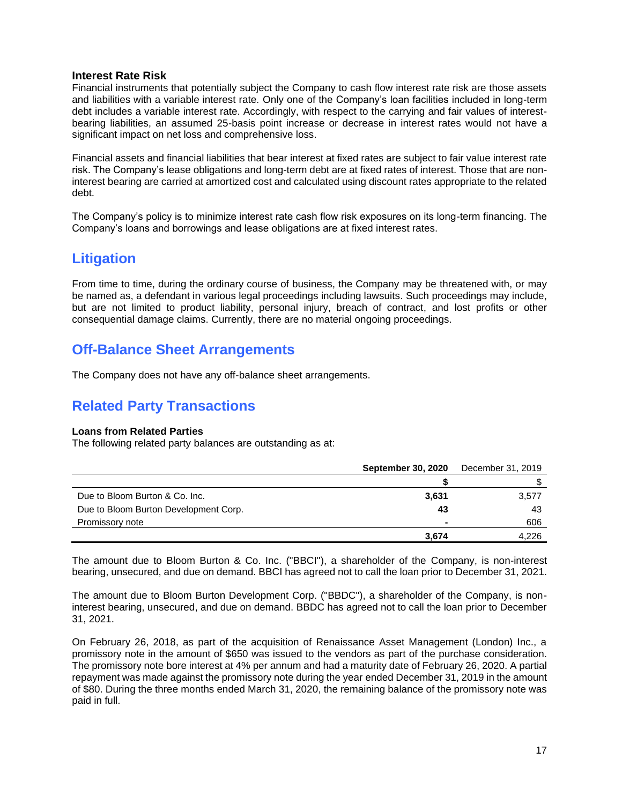## **Interest Rate Risk**

Financial instruments that potentially subject the Company to cash flow interest rate risk are those assets and liabilities with a variable interest rate. Only one of the Company's loan facilities included in long-term debt includes a variable interest rate. Accordingly, with respect to the carrying and fair values of interestbearing liabilities, an assumed 25-basis point increase or decrease in interest rates would not have a significant impact on net loss and comprehensive loss.

Financial assets and financial liabilities that bear interest at fixed rates are subject to fair value interest rate risk. The Company's lease obligations and long-term debt are at fixed rates of interest. Those that are noninterest bearing are carried at amortized cost and calculated using discount rates appropriate to the related debt.

The Company's policy is to minimize interest rate cash flow risk exposures on its long-term financing. The Company's loans and borrowings and lease obligations are at fixed interest rates.

# **Litigation**

From time to time, during the ordinary course of business, the Company may be threatened with, or may be named as, a defendant in various legal proceedings including lawsuits. Such proceedings may include, but are not limited to product liability, personal injury, breach of contract, and lost profits or other consequential damage claims. Currently, there are no material ongoing proceedings.

# **Off-Balance Sheet Arrangements**

The Company does not have any off-balance sheet arrangements.

# **Related Party Transactions**

#### **Loans from Related Parties**

The following related party balances are outstanding as at:

|                                       | <b>September 30, 2020</b> | December 31, 2019 |
|---------------------------------------|---------------------------|-------------------|
|                                       |                           |                   |
| Due to Bloom Burton & Co. Inc.        | 3,631                     | 3,577             |
| Due to Bloom Burton Development Corp. | 43                        | 43                |
| Promissory note                       | $\blacksquare$            | 606               |
|                                       | 3.674                     | 4,226             |

The amount due to Bloom Burton & Co. Inc. ("BBCI"), a shareholder of the Company, is non-interest bearing, unsecured, and due on demand. BBCI has agreed not to call the loan prior to December 31, 2021.

The amount due to Bloom Burton Development Corp. ("BBDC"), a shareholder of the Company, is noninterest bearing, unsecured, and due on demand. BBDC has agreed not to call the loan prior to December 31, 2021.

On February 26, 2018, as part of the acquisition of Renaissance Asset Management (London) Inc., a promissory note in the amount of \$650 was issued to the vendors as part of the purchase consideration. The promissory note bore interest at 4% per annum and had a maturity date of February 26, 2020. A partial repayment was made against the promissory note during the year ended December 31, 2019 in the amount of \$80. During the three months ended March 31, 2020, the remaining balance of the promissory note was paid in full.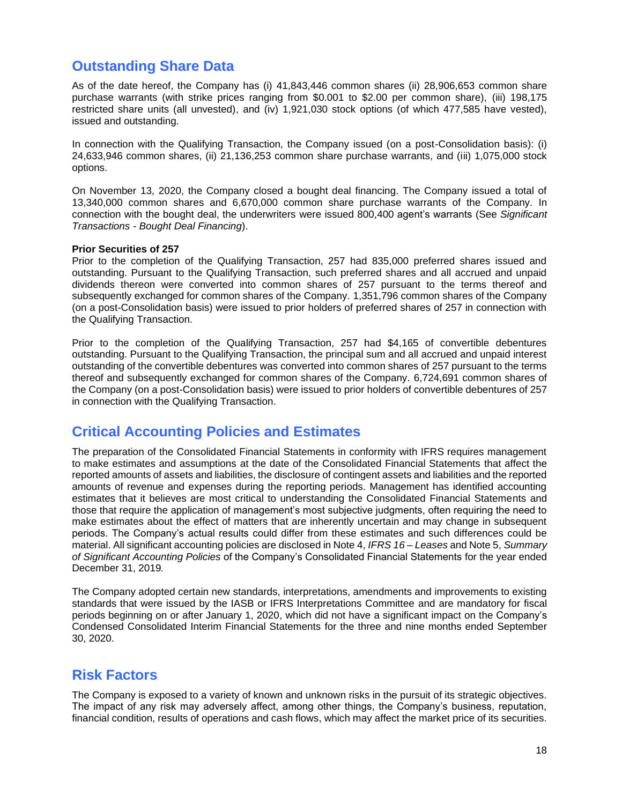# **Outstanding Share Data**

As of the date hereof, the Company has (i) 41,843,446 common shares (ii) 28,906,653 common share purchase warrants (with strike prices ranging from \$0.001 to \$2.00 per common share), (iii) 198,175 restricted share units (all unvested), and (iv) 1,921,030 stock options (of which 477,585 have vested), issued and outstanding.

In connection with the Qualifying Transaction, the Company issued (on a post-Consolidation basis): (i) 24,633,946 common shares, (ii) 21,136,253 common share purchase warrants, and (iii) 1,075,000 stock options.

On November 13, 2020, the Company closed a bought deal financing. The Company issued a total of 13,340,000 common shares and 6,670,000 common share purchase warrants of the Company. In connection with the bought deal, the underwriters were issued 800,400 agent's warrants (See *Significant Transactions - Bought Deal Financing*).

#### **Prior Securities of 257**

Prior to the completion of the Qualifying Transaction, 257 had 835,000 preferred shares issued and outstanding. Pursuant to the Qualifying Transaction, such preferred shares and all accrued and unpaid dividends thereon were converted into common shares of 257 pursuant to the terms thereof and subsequently exchanged for common shares of the Company. 1,351,796 common shares of the Company (on a post-Consolidation basis) were issued to prior holders of preferred shares of 257 in connection with the Qualifying Transaction.

Prior to the completion of the Qualifying Transaction, 257 had \$4,165 of convertible debentures outstanding. Pursuant to the Qualifying Transaction, the principal sum and all accrued and unpaid interest outstanding of the convertible debentures was converted into common shares of 257 pursuant to the terms thereof and subsequently exchanged for common shares of the Company. 6,724,691 common shares of the Company (on a post-Consolidation basis) were issued to prior holders of convertible debentures of 257 in connection with the Qualifying Transaction.

# **Critical Accounting Policies and Estimates**

The preparation of the Consolidated Financial Statements in conformity with IFRS requires management to make estimates and assumptions at the date of the Consolidated Financial Statements that affect the reported amounts of assets and liabilities, the disclosure of contingent assets and liabilities and the reported amounts of revenue and expenses during the reporting periods. Management has identified accounting estimates that it believes are most critical to understanding the Consolidated Financial Statements and those that require the application of management's most subjective judgments, often requiring the need to make estimates about the effect of matters that are inherently uncertain and may change in subsequent periods. The Company's actual results could differ from these estimates and such differences could be material. All significant accounting policies are disclosed in Note 4, *IFRS 16 – Leases* and Note 5, *Summary of Significant Accounting Policies* of the Company's Consolidated Financial Statements for the year ended December 31, 2019*.*

The Company adopted certain new standards, interpretations, amendments and improvements to existing standards that were issued by the IASB or IFRS Interpretations Committee and are mandatory for fiscal periods beginning on or after January 1, 2020, which did not have a significant impact on the Company's Condensed Consolidated Interim Financial Statements for the three and nine months ended September 30, 2020.

# **Risk Factors**

The Company is exposed to a variety of known and unknown risks in the pursuit of its strategic objectives. The impact of any risk may adversely affect, among other things, the Company's business, reputation, financial condition, results of operations and cash flows, which may affect the market price of its securities.